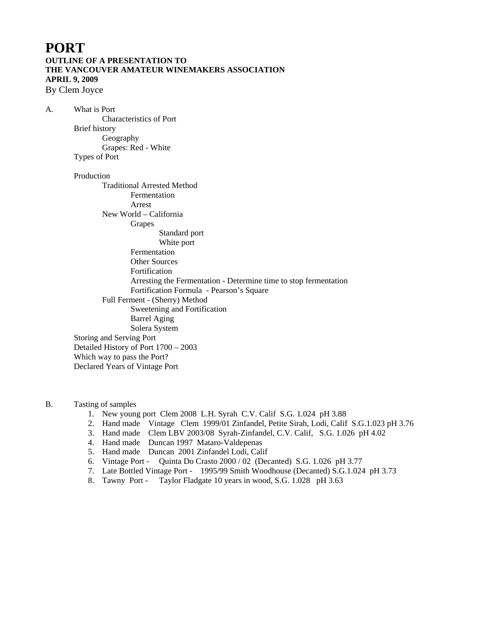## **PORT OUTLINE OF A PRESENTATION TO THE VANCOUVER AMATEUR WINEMAKERS ASSOCIATION APRIL 9, 2009**

By Clem Joyce

A. What is Port Characteristics of Port Brief history Geography Grapes: Red - White Types of Port

#### Production

Traditional Arrested Method Fermentation Arrest New World – California Grapes Standard port White port Fermentation Other Sources Fortification Arresting the Fermentation - Determine time to stop fermentation Fortification Formula - Pearson's Square Full Ferment - (Sherry) Method Sweetening and Fortification Barrel Aging Solera System Storing and Serving Port Detailed History of Port 1700 – 2003 Which way to pass the Port? Declared Years of Vintage Port

B. Tasting of samples

- 1. New young port Clem 2008 L.H. Syrah C.V. Calif S.G. 1.024 pH 3.88
- 2. Hand made Vintage Clem 1999/01 Zinfandel, Petite Sirah, Lodi, Calif S.G.1.023 pH 3.76
- 3. Hand made Clem LBV 2003/08 Syrah-Zinfandel, C.V. Calif, S.G. 1.026 pH 4.02
- 4. Hand made Duncan 1997 Mataro-Valdepenas
- 5. Hand made Duncan 2001 Zinfandel Lodi, Calif
- 6. Vintage Port Quinta Do Crasto 2000 / 02 (Decanted) S.G. 1.026 pH 3.77
- 7. Late Bottled Vintage Port 1995/99 Smith Woodhouse (Decanted) S.G.1.024 pH 3.73
- 8. Tawny Port Taylor Fladgate 10 years in wood, S.G. 1.028 pH 3.63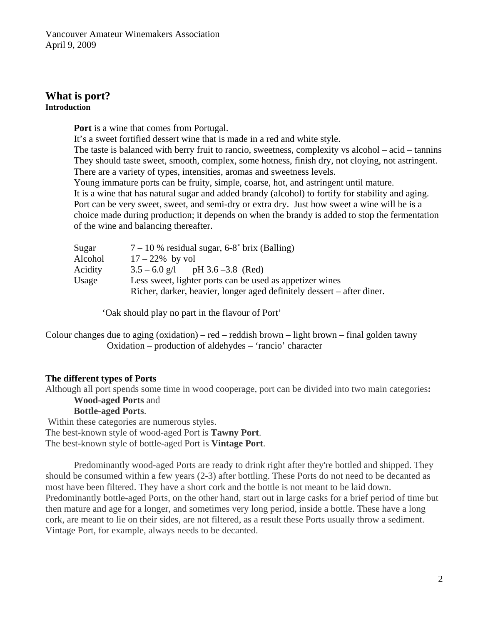### **hat is port? W Introduction**

**Port** is a wine that comes from Portugal.

The taste is balanced with berry fruit to rancio, sweetness, complexity vs alcohol – acid – tannins They should taste sweet, smooth, complex, some hotness, finish dry, not cloying, not astringent. It's a sweet fortified dessert wine that is made in a red and white style.

There are a variety of types, intensities, aromas and sweetness levels.

Port can be very sweet, sweet, and semi-dry or extra dry. Just how sweet a wine will be is a choice made during production; it depends on when the brandy is added to stop the fermentation Young immature ports can be fruity, simple, coarse, hot, and astringent until mature. It is a wine that has natural sugar and added brandy (alcohol) to fortify for stability and aging. of the wine and balancing thereafter.

| Sugar   | $7-10$ % residual sugar, 6-8° brix (Balling)                           |
|---------|------------------------------------------------------------------------|
| Alcohol | $17 - 22\%$ by vol                                                     |
| Acidity | $3.5 - 6.0$ g/l pH $3.6 - 3.8$ (Red)                                   |
| Usage   | Less sweet, lighter ports can be used as appetizer wines               |
|         | Richer, darker, heavier, longer aged definitely dessert – after diner. |

'Oak should play no part in the flavour of Port'

Colour changes due to aging (oxidation) – red – reddish brown – light brown – final golden tawny Oxidation – production of aldehydes – 'rancio' character

## **The different types of Ports**

Although all port spends some time in wood cooperage, port can be divided into two main categories: **Wood-aged Ports** and

## **Bottle-aged Ports**.

The best-known style of bottle-aged Port is Vintage Port. Within these categories are numerous styles. The best-known style of wood-aged Port is **Tawny Port**.

Predominantly wood-aged Ports are ready to drink right after they're bottled and shipped. They Predominantly bottle-aged Ports, on the other hand, start out in large casks for a brief period of time but then mature and age for a longer, and sometimes very long period, inside a bottle. These have a long cork, are meant to lie on their sides, are not filtered, as a result these Ports usually throw a sediment. Vintage Port, for example, always needs to be decanted. should be consumed within a few years (2-3) after bottling. These Ports do not need to be decanted as most have been filtered. They have a short cork and the bottle is not meant to be laid down.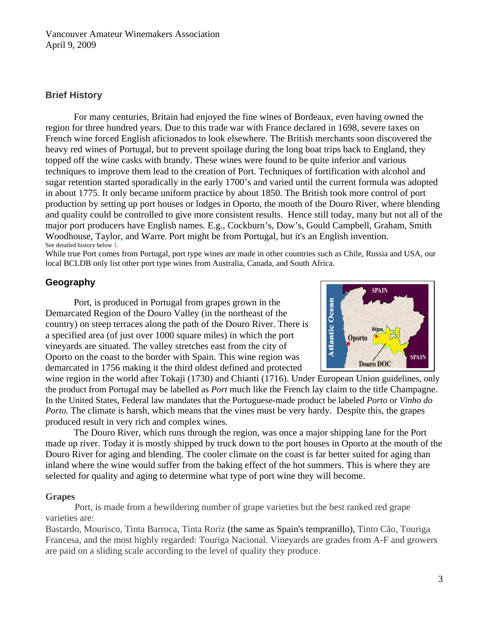## **Brief H istory**

French wine forced English aficionados to look elsewhere. The British merchants soon discovered the and quality could be controlled to give more consistent results. Hence still today, many but not all of the major port producers have English names. E.g., Cockburn's, Dow's, Gould Campbell, Graham, Smith For many centuries, Britain had enjoyed the fine wines of Bordeaux, even having owned the region for three hundred years. Due to this trade war with France declared in 1698, severe taxes on heavy red wines of Portugal, but to prevent spoilage during the long boat trips back to England, they topped off the wine casks with brandy. These wines were found to be quite inferior and various techniques to improve them lead to the creation of Port. Techniques of fortification with alcohol and sugar retention started sporadically in the early 1700's and varied until the current formula was adopted in about 1775. It only became uniform practice by about 1850. The British took more control of port production by setting up port houses or lodges in Oporto, the mouth of the Douro River, where blending Woodhouse, Taylor, and Warre. Port might be from Portugal, but it's an English invention. See detailed history below 1.

While true Port comes from Portugal, port type wines are made in other countries such as Chile, Russia and USA, our local BCLDB only list other port type wines from Australia, Canada, and South Africa.

## **Geogr aphy**

country) on steep terraces along the path of the Douro River. There is Port, is produced in Portugal from grapes grown in the Demarcated Region of the Douro Valley (in the northeast of the a specified area (of just over 1000 square miles) in which the port vineyards are situated. The valley stretches east from the city of Oporto on the coast to the border with Spain. This wine region was demarcated in 1756 making it the third oldest defined and protected



the product from Portugal may be labelled as *Port* much like the French lay claim to the title Champagne. In the United States, Federal law mandates that the Portuguese-made product be labeled Porto or Vinho do Porto. The climate is harsh, which means that the vines must be very hardy. Despite this, the grapes [wine region](http://en.wikipedia.org/wiki/Appellation) in the world after [Tokaji](http://en.wikipedia.org/wiki/Tokaji) (1730) and [Chianti](http://en.wikipedia.org/wiki/Chianti) (1716). Under [European Union](http://en.wikipedia.org/wiki/European_Union) guidelines, only produced result in very rich and complex wines.

made up river. Today it is mostly shipped by truck down to the port houses in Oporto at the mouth of the Douro River for aging and blending. The cooler climate on the coast is far better suited for aging than inland where the wine would suffer from the baking effect of the hot summers. This is where they are selected for quality and aging to determine what type of port wine they will become. The Douro River, which runs through the region, was once a major shipping lane for the Port

## **Grapes**

Port, is made from a bewildering number of grape varieties but the best ranked red grape varieties are:

Bastardo, Mourisco, Tinta Barroca, Tinta Roriz (the same as Spain's tempranillo), Tinto Cão, Touriga Francesa, and the most highly regarded: Touriga Nacional. Vineyards are grades from A-F and growers are paid on a sliding scale according to the level of quality they produce.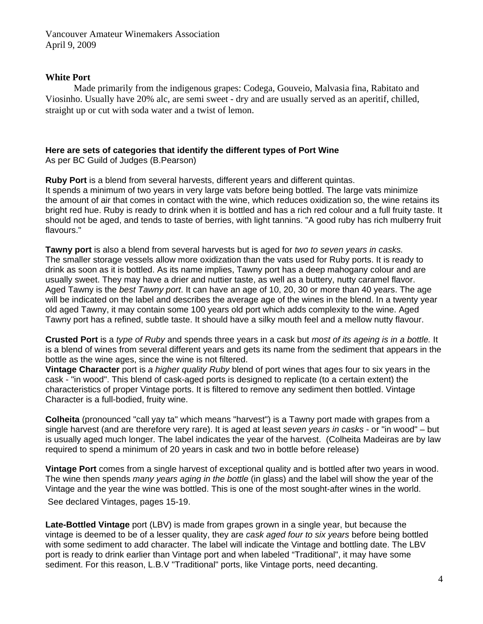#### **White Port**

Made primarily from the indigenous grapes: Codega, Gouveio, Malvasia fina, Rabitato and Viosinho. Usually have 20% alc, are semi sweet - dry and are usually served as an aperitif, chilled, straight up or cut with soda water and a twist of lemon.

## **Here are sets of categories that identify the different types of Port Wine**

As per BC Guild of Judges (B.Pearson)

**Ruby Port** is a blend from several harvests, different years and different quintas. It spends a minimum of two years in very large vats before being bottled. The large vats minimize the amount of air that comes in contact with the wine, which reduces oxidization so, the wine retains its bright red hue. Ruby is ready to drink when it is bottled and has a rich red colour and a full fruity taste. It should not be aged, and tends to taste of berries, with light tannins. "A good ruby has rich mulberry fruit flavours."

**Tawny port** is also a blend from several harvests but is aged for *two to seven years in casks.*  The smaller storage vessels allow more oxidization than the vats used for Ruby ports. It is ready to drink as soon as it is bottled. As its name implies, Tawny port has a deep mahogany colour and are usually sweet. They may have a drier and nuttier taste, as well as a buttery, nutty caramel flavor. Aged Tawny is the *best Tawny port*. It can have an age of 10, 20, 30 or more than 40 years. The age will be indicated on the label and describes the average age of the wines in the blend. In a twenty year old aged Tawny, it may contain some 100 years old port which adds complexity to the wine. Aged Tawny port has a refined, subtle taste. It should have a silky mouth feel and a mellow nutty flavour.

**Crusted Port** is a *type of Ruby* and spends three years in a cask but *most of its ageing is in a bottle.* It is a blend of wines from several different years and gets its name from the sediment that appears in the bottle as the wine ages, since the wine is not filtered.

**Vintage Character** port is *a higher quality Ruby* blend of port wines that ages four to six years in the cask - "in wood". This blend of cask-aged ports is designed to replicate (to a certain extent) the characteristics of proper Vintage ports. It is filtered to remove any sediment then bottled. Vintage Character is a full-bodied, fruity wine.

**Colheita** (pronounced "call yay ta" which means "harvest") is a Tawny port made with grapes from a single harvest (and are therefore very rare). It is aged at least *seven years in casks* - or "in wood" – but is usually aged much longer. The label indicates the year of the harvest. (Colheita Madeiras are by law required to spend a minimum of 20 years in cask and two in bottle before release)

**Vintage Port** comes from a single harvest of exceptional quality and is bottled after two years in wood. The wine then spends *many years aging in the bottle* (in glass) and the label will show the year of the Vintage and the year the wine was bottled. This is one of the most sought-after wines in the world. See declared Vintages, pages 15-19.

**Late-Bottled Vintage** port (LBV) is made from grapes grown in a single year, but because the vintage is deemed to be of a lesser quality, they are *cask aged four to six years* before being bottled with some sediment to add character. The label will indicate the Vintage and bottling date. The LBV port is ready to drink earlier than Vintage port and when labeled "Traditional", it may have some sediment. For this reason, L.B.V "Traditional" ports, like Vintage ports, need decanting.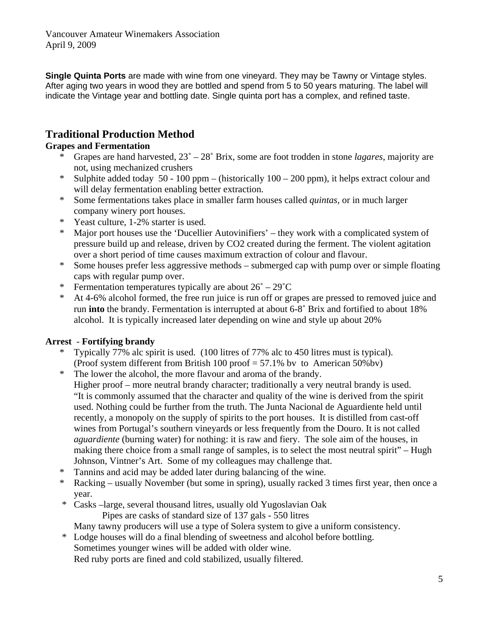**Single Quinta Ports** are made with wine from one vineyard. They may be Tawny or Vintage styles. After aging two years in wood they are bottled and spend from 5 to 50 years maturing. The label will indicate the Vintage year and bottling date. Single quinta port has a complex, and refined taste.

# **Traditional Production Method**

## **Grapes and Fermentation**

- \* Grapes are hand harvested, 23˚ 28˚ Brix, some are foot trodden in stone *lagares*, majority are not, using mechanized crushers
- \* Sulphite added today 50 100 ppm (historically 100 200 ppm), it helps extract colour and will delay fermentation enabling better extraction.
- \* Some fermentations takes place in smaller farm houses called *quintas,* or in much larger company winery port houses.
- \* Yeast culture, 1-2% starter is used.
- \* Major port houses use the 'Ducellier Autovinifiers' they work with a complicated system of pressure build up and release, driven by CO2 created during the ferment. The violent agitation over a short period of time causes maximum extraction of colour and flavour.
- \* Some houses prefer less aggressive methods submerged cap with pump over or simple floating caps with regular pump over.
- \* Fermentation temperatures typically are about  $26^{\circ} 29^{\circ}$ C
- \* At 4-6% alcohol formed, the free run juice is run off or grapes are pressed to removed juice and run **into** the brandy. Fermentation is interrupted at about 6-8˚ Brix and fortified to about 18% alcohol. It is typically increased later depending on wine and style up about 20%

## **Arrest** - **Fortifying brandy**

- \* Typically 77% alc spirit is used. (100 litres of 77% alc to 450 litres must is typical). (Proof system different from British 100 proof = 57.1% bv to American 50%bv)
- \* The lower the alcohol, the more flavour and aroma of the brandy. Higher proof – more neutral brandy character; traditionally a very neutral brandy is used. "It is commonly assumed that the character and quality of the wine is derived from the spirit used. Nothing could be further from the truth. The Junta Nacional de Aguardiente held until recently, a monopoly on the supply of spirits to the port houses. It is distilled from cast-off wines from Portugal's southern vineyards or less frequently from the Douro. It is not called *aguardiente* (burning water) for nothing: it is raw and fiery. The sole aim of the houses, in making there choice from a small range of samples, is to select the most neutral spirit" – Hugh Johnson, Vintner's Art. Some of my colleagues may challenge that.
- \* Tannins and acid may be added later during balancing of the wine.
- \* Racking usually November (but some in spring), usually racked 3 times first year, then once a year.
- \* Casks –large, several thousand litres, usually old Yugoslavian Oak

Pipes are casks of standard size of 137 gals - 550 litres

Many tawny producers will use a type of Solera system to give a uniform consistency.

- \* Lodge houses will do a final blending of sweetness and alcohol before bottling.
	- Sometimes younger wines will be added with older wine.

Red ruby ports are fined and cold stabilized, usually filtered.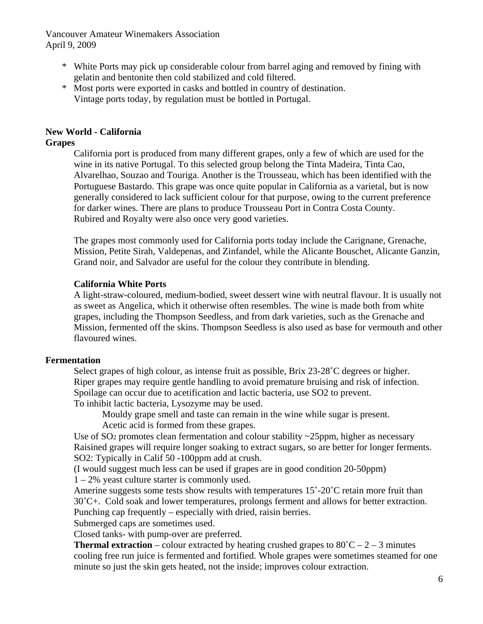- \* White Ports may pick up considerable colour from barrel aging and removed by fining with gelatin and bentonite then cold stabilized and cold filtered.
- \* Most ports were exported in casks and bottled in country of destination. Vintage ports today, by regulation must be bottled in Portugal.

## **New World - California**

#### **Grapes**

California port is produced from many different grapes, only a few of which are used for the wine in its native Portugal. To this selected group belong the Tinta Madeira, Tinta Cao, Alvarelhao, Souzao and Touriga. Another is the Trousseau, which has been identified with the Portuguese Bastardo. This grape was once quite popular in California as a varietal, but is now generally considered to lack sufficient colour for that purpose, owing to the current preference for darker wines. There are plans to produce Trousseau Port in Contra Costa County. Rubired and Royalty were also once very good varieties.

The grapes most commonly used for California ports today include the Carignane, Grenache, Mission, Petite Sirah, Valdepenas, and Zinfandel, while the Alicante Bouschet, Alicante Ganzin, Grand noir, and Salvador are useful for the colour they contribute in blending.

#### **California White Ports**

A light-straw-coloured, medium-bodied, sweet dessert wine with neutral flavour. It is usually not as sweet as Angelica, which it otherwise often resembles. The wine is made both from white grapes, including the Thompson Seedless, and from dark varieties, such as the Grenache and Mission, fermented off the skins. Thompson Seedless is also used as base for vermouth and other flavoured wines.

#### **Fermentation**

Select grapes of high colour, as intense fruit as possible, Brix 23-28<sup>°</sup>C degrees or higher. Riper grapes may require gentle handling to avoid premature bruising and risk of infection. Spoilage can occur due to acetification and lactic bacteria, use SO2 to prevent. To inhibit lactic bacteria, Lysozyme may be used.

Mouldy grape smell and taste can remain in the wine while sugar is present. Acetic acid is formed from these grapes.

Use of SO<sub>2</sub> promotes clean fermentation and colour stability  $\sim$ 25ppm, higher as necessary Raisined grapes will require longer soaking to extract sugars, so are better for longer ferments. SO2: Typically in Calif 50 -100ppm add at crush.

(I would suggest much less can be used if grapes are in good condition 20-50ppm) 1 – 2% yeast culture starter is commonly used.

Amerine suggests some tests show results with temperatures 15°-20°C retain more fruit than 30˚C+. Cold soak and lower temperatures, prolongs ferment and allows for better extraction. Punching cap frequently – especially with dried, raisin berries.

Submerged caps are sometimes used.

Closed tanks- with pump-over are preferred.

**Thermal extraction** – colour extracted by heating crushed grapes to  $80^{\circ}C - 2 - 3$  minutes cooling free run juice is fermented and fortified. Whole grapes were sometimes steamed for one minute so just the skin gets heated, not the inside; improves colour extraction.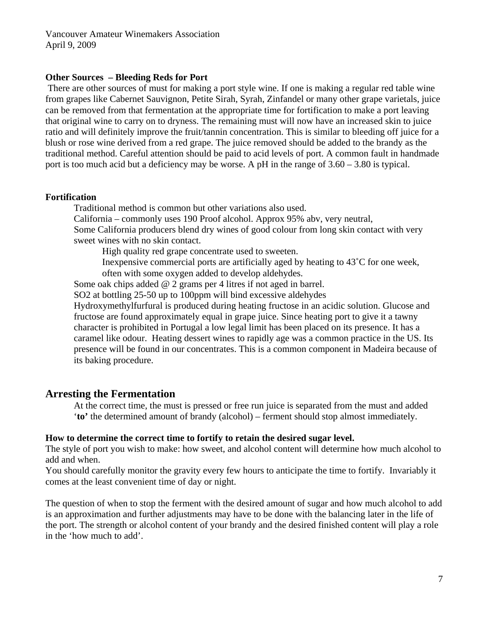#### **Other Sources – Bleeding Reds for Port**

There are other sources of must for making a port style wine. If one is making a regular red table wine from grapes like Cabernet Sauvignon, Petite Sirah, Syrah, Zinfandel or many other grape varietals, juice can be removed from that fermentation at the appropriate time for fortification to make a port leaving that original wine to carry on to dryness. The remaining must will now have an increased skin to juice ratio and will definitely improve the fruit/tannin concentration. This is similar to bleeding off juice for a blush or rose wine derived from a red grape. The juice removed should be added to the brandy as the traditional method. Careful attention should be paid to acid levels of port. A common fault in handmade port is too much acid but a deficiency may be worse. A pH in the range of 3.60 – 3.80 is typical.

#### **Fortification**

Traditional method is common but other variations also used. California – commonly uses 190 Proof alcohol. Approx 95% abv, very neutral, Some California producers blend dry wines of good colour from long skin contact with very sweet wines with no skin contact.

High quality red grape concentrate used to sweeten.

Inexpensive commercial ports are artificially aged by heating to 43˚C for one week, often with some oxygen added to develop aldehydes.

Some oak chips added @ 2 grams per 4 litres if not aged in barrel.

SO2 at bottling 25-50 up to 100ppm will bind excessive aldehydes

Hydroxymethylfurfural is produced during heating fructose in an acidic solution. Glucose and fructose are found approximately equal in grape juice. Since heating port to give it a tawny character is prohibited in Portugal a low legal limit has been placed on its presence. It has a caramel like odour. Heating dessert wines to rapidly age was a common practice in the US. Its presence will be found in our concentrates. This is a common component in Madeira because of its baking procedure.

## **Arresting the Fermentation**

At the correct time, the must is pressed or free run juice is separated from the must and added '**to'** the determined amount of brandy (alcohol) – ferment should stop almost immediately.

#### **How to determine the correct time to fortify to retain the desired sugar level.**

The style of port you wish to make: how sweet, and alcohol content will determine how much alcohol to add and when.

You should carefully monitor the gravity every few hours to anticipate the time to fortify. Invariably it comes at the least convenient time of day or night.

The question of when to stop the ferment with the desired amount of sugar and how much alcohol to add is an approximation and further adjustments may have to be done with the balancing later in the life of the port. The strength or alcohol content of your brandy and the desired finished content will play a role in the 'how much to add'.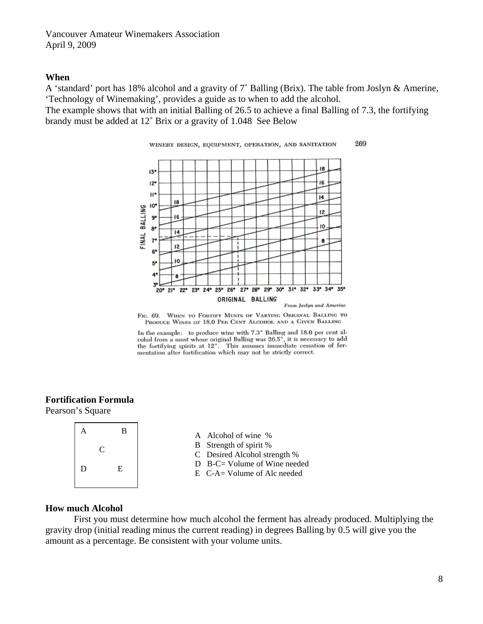#### **When**

A 'standard' port has 18% alcohol and a gravity of 7˚ Balling (Brix). The table from Joslyn & Amerine, 'Technology of Winemaking', provides a guide as to when to add the alcohol.

The example shows that with an initial Balling of 26.5 to achieve a final Balling of 7.3, the fortifying brandy must be added at 12˚ Brix or a gravity of 1.048 See Below



FIG. 69. WHEN TO FORTIFY MUSTS OF VARYING ORIGINAL BALLING TO PRODUCE WINES OF 18.0 PER CENT ALCOHOL AND A GIVEN BALLING

In the example: to produce wine with 7.3° Balling and 18.0 per cent alin the example:  $\omega$  produce when with  $\cos 26.5^{\circ}$ , it is necessary to add the fortifying spirits at 12°. This assumes immediate cessation of fermentation after fortification which may not be strictly correct.

## **Fortification Formula**

Pearson's Square

| $\mathbf{A}$ |              | B |  |
|--------------|--------------|---|--|
|              | $\mathsf{C}$ |   |  |
| D            |              | E |  |
|              |              |   |  |

- A Alcohol of wine %
- B Strength of spirit %
- C Desired Alcohol strength %
- D B-C= Volume of Wine needed
- E C-A= Volume of Alc needed

#### **How much Alcohol**

 First you must determine how much alcohol the ferment has already produced. Multiplying the gravity drop (initial reading minus the current reading) in degrees Balling by 0.5 will give you the amount as a percentage. Be consistent with your volume units.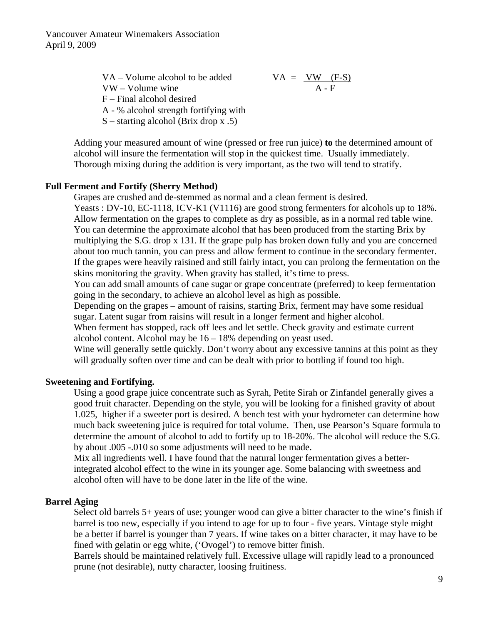> VA – Volume alcohol to be added  $VA = \frac{VW (F-S)}{A-F}$  $VW - Volume$  wine F – Final alcohol desired A - % alcohol strength fortifying with

S – starting alcohol (Brix drop x .5)

Adding your measured amount of wine (pressed or free run juice) **to** the determined amount of alcohol will insure the fermentation will stop in the quickest time. Usually immediately. Thorough mixing during the addition is very important, as the two will tend to stratify.

#### **Full Ferment and Fortify (Sherry Method)**

Grapes are crushed and de-stemmed as normal and a clean ferment is desired. Yeasts : DV-10, EC-1118, ICV-K1 (V1116) are good strong fermenters for alcohols up to 18%. Allow fermentation on the grapes to complete as dry as possible, as in a normal red table wine. You can determine the approximate alcohol that has been produced from the starting Brix by multiplying the S.G. drop x 131. If the grape pulp has broken down fully and you are concerned about too much tannin, you can press and allow ferment to continue in the secondary fermenter. If the grapes were heavily raisined and still fairly intact, you can prolong the fermentation on the skins monitoring the gravity. When gravity has stalled, it's time to press.

You can add small amounts of cane sugar or grape concentrate (preferred) to keep fermentation going in the secondary, to achieve an alcohol level as high as possible.

Depending on the grapes – amount of raisins, starting Brix, ferment may have some residual sugar. Latent sugar from raisins will result in a longer ferment and higher alcohol.

When ferment has stopped, rack off lees and let settle. Check gravity and estimate current alcohol content. Alcohol may be 16 – 18% depending on yeast used.

Wine will generally settle quickly. Don't worry about any excessive tannins at this point as they will gradually soften over time and can be dealt with prior to bottling if found too high.

#### **Sweetening and Fortifying.**

Using a good grape juice concentrate such as Syrah, Petite Sirah or Zinfandel generally gives a good fruit character. Depending on the style, you will be looking for a finished gravity of about 1.025, higher if a sweeter port is desired. A bench test with your hydrometer can determine how much back sweetening juice is required for total volume. Then, use Pearson's Square formula to determine the amount of alcohol to add to fortify up to 18-20%. The alcohol will reduce the S.G. by about .005 -.010 so some adjustments will need to be made.

Mix all ingredients well. I have found that the natural longer fermentation gives a betterintegrated alcohol effect to the wine in its younger age. Some balancing with sweetness and alcohol often will have to be done later in the life of the wine.

#### **Barrel Aging**

Select old barrels 5+ years of use; younger wood can give a bitter character to the wine's finish if barrel is too new, especially if you intend to age for up to four - five years. Vintage style might be a better if barrel is younger than 7 years. If wine takes on a bitter character, it may have to be fined with gelatin or egg white, ('Ovogel') to remove bitter finish.

Barrels should be maintained relatively full. Excessive ullage will rapidly lead to a pronounced prune (not desirable), nutty character, loosing fruitiness.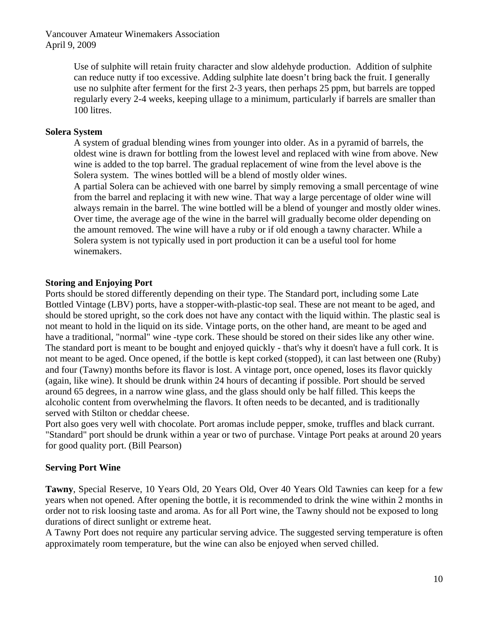> Use of sulphite will retain fruity character and slow aldehyde production. Addition of sulphite can reduce nutty if too excessive. Adding sulphite late doesn't bring back the fruit. I generally use no sulphite after ferment for the first 2-3 years, then perhaps 25 ppm, but barrels are topped regularly every 2-4 weeks, keeping ullage to a minimum, particularly if barrels are smaller than 100 litres.

#### **Solera System**

A system of gradual blending wines from younger into older. As in a pyramid of barrels, the oldest wine is drawn for bottling from the lowest level and replaced with wine from above. New wine is added to the top barrel. The gradual replacement of wine from the level above is the Solera system. The wines bottled will be a blend of mostly older wines.

A partial Solera can be achieved with one barrel by simply removing a small percentage of wine from the barrel and replacing it with new wine. That way a large percentage of older wine will always remain in the barrel. The wine bottled will be a blend of younger and mostly older wines. Over time, the average age of the wine in the barrel will gradually become older depending on the amount removed. The wine will have a ruby or if old enough a tawny character. While a Solera system is not typically used in port production it can be a useful tool for home winemakers.

#### **Storing and Enjoying Port**

Ports should be stored differently depending on their type. The Standard port, including some Late Bottled Vintage (LBV) ports, have a stopper-with-plastic-top seal. These are not meant to be aged, and should be stored upright, so the cork does not have any contact with the liquid within. The plastic seal is not meant to hold in the liquid on its side. Vintage ports, on the other hand, are meant to be aged and have a traditional, "normal" wine -type cork. These should be stored on their sides like any other wine. The standard port is meant to be bought and enjoyed quickly - that's why it doesn't have a full cork. It is not meant to be aged. Once opened, if the bottle is kept corked (stopped), it can last between one (Ruby) and four (Tawny) months before its flavor is lost. A vintage port, once opened, loses its flavor quickly (again, like wine). It should be drunk within 24 hours of decanting if possible. Port should be served around 65 degrees, in a narrow wine glass, and the glass should only be half filled. This keeps the alcoholic content from overwhelming the flavors. It often needs to be decanted, and is traditionally served with Stilton or cheddar cheese.

Port also goes very well with chocolate. Port aromas include pepper, smoke, truffles and black currant. "Standard" port should be drunk within a year or two of purchase. Vintage Port peaks at around 20 years for good quality port. (Bill Pearson)

#### **Serving Port Wine**

**Tawny**, Special Reserve, 10 Years Old, 20 Years Old, Over 40 Years Old Tawnies can keep for a few years when not opened. After opening the bottle, it is recommended to drink the wine within 2 months in order not to risk loosing taste and aroma. As for all Port wine, the Tawny should not be exposed to long durations of direct sunlight or extreme heat.

A Tawny Port does not require any particular serving advice. The suggested serving temperature is often approximately room temperature, but the wine can also be enjoyed when served chilled.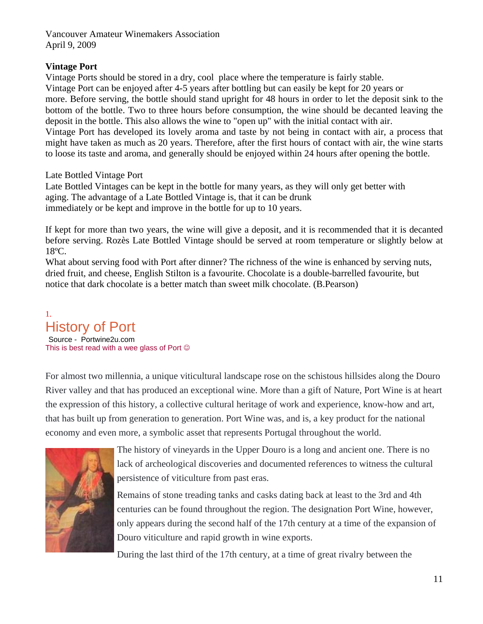#### **Vintage Port**

Vintage Ports should be stored in a dry, cool place where the temperature is fairly stable. Vintage Port can be enjoyed after 4-5 years after bottling but can easily be kept for 20 years or more. Before serving, the bottle should stand upright for 48 hours in order to let the deposit sink to the bottom of the bottle. Two to three hours before consumption, the wine should be decanted leaving the deposit in the bottle. This also allows the wine to "open up" with the initial contact with air. Vintage Port has developed its lovely aroma and taste by not being in contact with air, a process that might have taken as much as 20 years. Therefore, after the first hours of contact with air, the wine starts to loose its taste and aroma, and generally should be enjoyed within 24 hours after opening the bottle.

Late Bottled Vintage Port

Late Bottled Vintages can be kept in the bottle for many years, as they will only get better with aging. The advantage of a Late Bottled Vintage is, that it can be drunk immediately or be kept and improve in the bottle for up to 10 years.

If kept for more than two years, the wine will give a deposit, and it is recommended that it is decanted before serving. Rozès Late Bottled Vintage should be served at room temperature or slightly below at 18ºC.

What about serving food with Port after dinner? The richness of the wine is enhanced by serving nuts, dried fruit, and cheese, English Stilton is a favourite. Chocolate is a double-barrelled favourite, but notice that dark chocolate is a better match than sweet milk chocolate. (B.Pearson)

## 1. History of Port Source - Portwine2u.com

This is best read with a wee glass of Port  $\odot$ 

For almost two millennia, a unique viticultural landscape rose on the schistous hillsides along the Douro River valley and that has produced an exceptional wine. More than a gift of Nature, Port Wine is at heart the expression of this history, a collective cultural heritage of work and experience, know-how and art, that has built up from generation to generation. Port Wine was, and is, a key product for the national economy and even more, a symbolic asset that represents Portugal throughout the world.



The history of vineyards in the Upper Douro is a long and ancient one. There is no lack of archeological discoveries and documented references to witness the cultural persistence of viticulture from past eras.

Remains of stone treading tanks and casks dating back at least to the 3rd and 4th centuries can be found throughout the region. The designation Port Wine, however, only appears during the second half of the 17th century at a time of the expansion of Douro viticulture and rapid growth in wine exports.

During the last third of the 17th century, at a time of great rivalry between the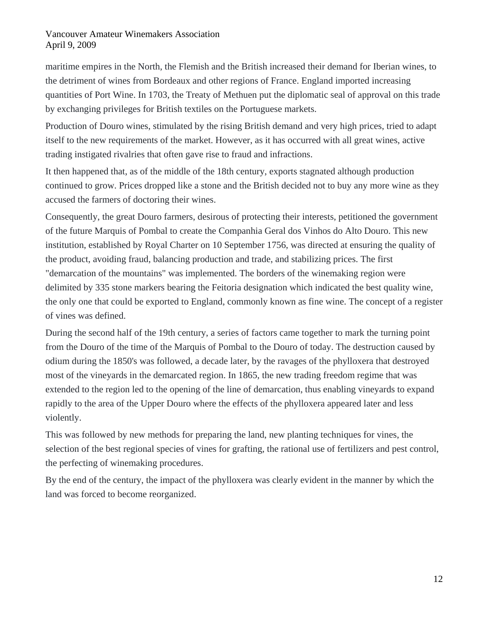maritime empires in the North, the Flemish and the British increased their demand for Iberian wines, to the detriment of wines from Bordeaux and other regions of France. England imported increasing quantities of Port Wine. In 1703, the Treaty of Methuen put the diplomatic seal of approval on this trade by exchanging privileges for British textiles on the Portuguese markets.

Production of Douro wines, stimulated by the rising British demand and very high prices, tried to adapt itself to the new requirements of the market. However, as it has occurred with all great wines, active trading instigated rivalries that often gave rise to fraud and infractions.

It then happened that, as of the middle of the 18th century, exports stagnated although production continued to grow. Prices dropped like a stone and the British decided not to buy any more wine as they accused the farmers of doctoring their wines.

Consequently, the great Douro farmers, desirous of protecting their interests, petitioned the government of the future Marquis of Pombal to create the Companhia Geral dos Vinhos do Alto Douro. This new institution, established by Royal Charter on 10 September 1756, was directed at ensuring the quality of the product, avoiding fraud, balancing production and trade, and stabilizing prices. The first "demarcation of the mountains" was implemented. The borders of the winemaking region were delimited by 335 stone markers bearing the Feitoria designation which indicated the best quality wine, the only one that could be exported to England, commonly known as fine wine. The concept of a register of vines was defined.

During the second half of the 19th century, a series of factors came together to mark the turning point from the Douro of the time of the Marquis of Pombal to the Douro of today. The destruction caused by odium during the 1850's was followed, a decade later, by the ravages of the phylloxera that destroyed most of the vineyards in the demarcated region. In 1865, the new trading freedom regime that was extended to the region led to the opening of the line of demarcation, thus enabling vineyards to expand rapidly to the area of the Upper Douro where the effects of the phylloxera appeared later and less violently.

This was followed by new methods for preparing the land, new planting techniques for vines, the selection of the best regional species of vines for grafting, the rational use of fertilizers and pest control, the perfecting of winemaking procedures.

By the end of the century, the impact of the phylloxera was clearly evident in the manner by which the land was forced to become reorganized.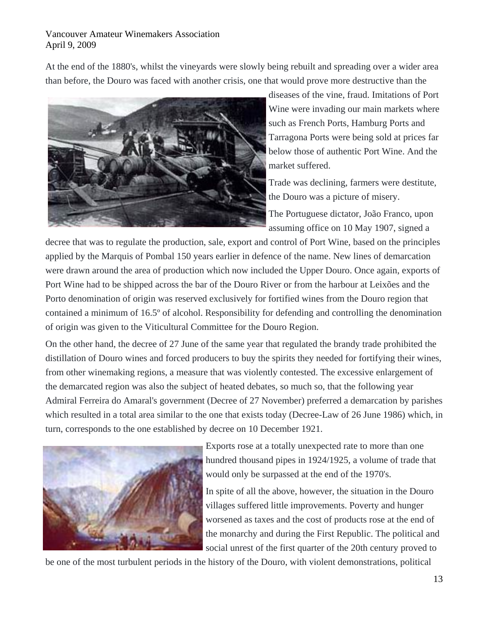At the end of the 1880's, whilst the vineyards were slowly being rebuilt and spreading over a wider area than before, the Douro was faced with another crisis, one that would prove more destructive than the



diseases of the vine, fraud. Imitations of Port Wine were invading our main markets where such as French Ports, Hamburg Ports and Tarragona Ports were being sold at prices far below those of authentic Port Wine. And the market suffered.

Trade was declining, farmers were destitute, the Douro was a picture of misery.

The Portuguese dictator, João Franco, upon assuming office on 10 May 1907, signed a

decree that was to regulate the production, sale, export and control of Port Wine, based on the principles applied by the Marquis of Pombal 150 years earlier in defence of the name. New lines of demarcation were drawn around the area of production which now included the Upper Douro. Once again, exports of Port Wine had to be shipped across the bar of the Douro River or from the harbour at Leixões and the Porto denomination of origin was reserved exclusively for fortified wines from the Douro region that contained a minimum of 16.5º of alcohol. Responsibility for defending and controlling the denomination of origin was given to the Viticultural Committee for the Douro Region.

On the other hand, the decree of 27 June of the same year that regulated the brandy trade prohibited the distillation of Douro wines and forced producers to buy the spirits they needed for fortifying their wines, from other winemaking regions, a measure that was violently contested. The excessive enlargement of the demarcated region was also the subject of heated debates, so much so, that the following year Admiral Ferreira do Amaral's government (Decree of 27 November) preferred a demarcation by parishes which resulted in a total area similar to the one that exists today (Decree-Law of 26 June 1986) which, in turn, corresponds to the one established by decree on 10 December 1921.



Exports rose at a totally unexpected rate to more than one hundred thousand pipes in 1924/1925, a volume of trade that would only be surpassed at the end of the 1970's.

In spite of all the above, however, the situation in the Douro villages suffered little improvements. Poverty and hunger worsened as taxes and the cost of products rose at the end of the monarchy and during the First Republic. The political and social unrest of the first quarter of the 20th century proved to

be one of the most turbulent periods in the history of the Douro, with violent demonstrations, political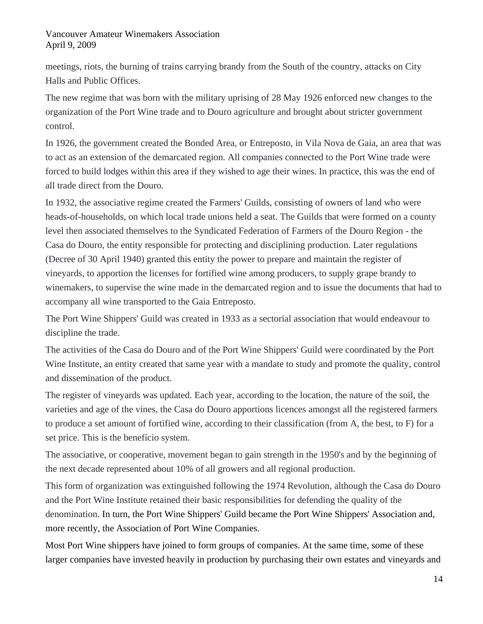meetings, riots, the burning of trains carrying brandy from the South of the country, attacks on City Halls and Public Offices.

The new regime that was born with the military uprising of 28 May 1926 enforced new changes to the organization of the Port Wine trade and to Douro agriculture and brought about stricter government control.

In 1926, the government created the Bonded Area, or Entreposto, in Vila Nova de Gaia, an area that was to act as an extension of the demarcated region. All companies connected to the Port Wine trade were forced to build lodges within this area if they wished to age their wines. In practice, this was the end of all trade direct from the Douro.

In 1932, the associative regime created the Farmers' Guilds, consisting of owners of land who were heads-of-households, on which local trade unions held a seat. The Guilds that were formed on a county level then associated themselves to the Syndicated Federation of Farmers of the Douro Region - the Casa do Douro, the entity responsible for protecting and disciplining production. Later regulations (Decree of 30 April 1940) granted this entity the power to prepare and maintain the register of vineyards, to apportion the licenses for fortified wine among producers, to supply grape brandy to winemakers, to supervise the wine made in the demarcated region and to issue the documents that had to accompany all wine transported to the Gaia Entreposto.

The Port Wine Shippers' Guild was created in 1933 as a sectorial association that would endeavour to discipline the trade.

The activities of the Casa do Douro and of the Port Wine Shippers' Guild were coordinated by the Port Wine Institute, an entity created that same year with a mandate to study and promote the quality, control and dissemination of the product.

The register of vineyards was updated. Each year, according to the location, the nature of the soil, the varieties and age of the vines, the Casa do Douro apportions licences amongst all the registered farmers to produce a set amount of fortified wine, according to their classification (from A, the best, to F) for a set price. This is the benefício system.

The associative, or cooperative, movement began to gain strength in the 1950's and by the beginning of the next decade represented about 10% of all growers and all regional production.

This form of organization was extinguished following the 1974 Revolution, although the Casa do Douro and the Port Wine Institute retained their basic responsibilities for defending the quality of the denomination. In turn, the Port Wine Shippers' Guild became the Port Wine Shippers' Association and, more recently, the [Association of Port Wine Companies](http://www.ivp.pt/pagina.asp?codPag=53).

Most Port Wine shippers have joined to form groups of companies. At the same time, some of these larger companies have invested heavily in production by purchasing their own estates and vineyards and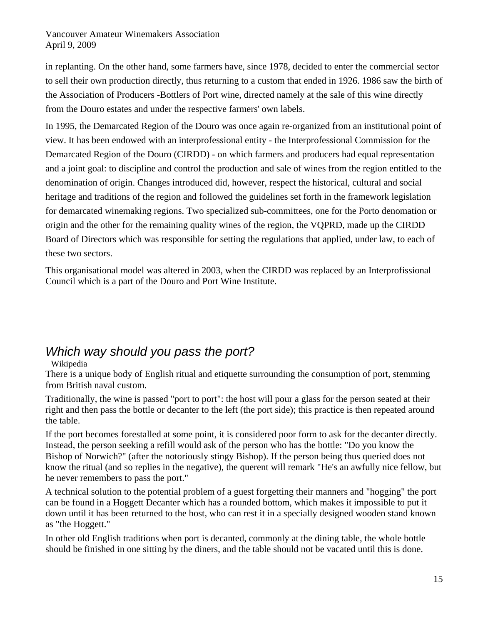in replanting. On the other hand, some farmers have, since 1978, decided to enter the commercial sector to sell their own production directly, thus returning to a custom that ended in 1926. 1986 saw the birth of the Association of Producers -Bottlers of Port wine, directed namely at the sale of this wine directly from the Douro estates and under the respective farmers' own labels.

In 1995, the Demarcated Region of the Douro was once again re-organized from an institutional point of view. It has been endowed with an interprofessional entity - the Interprofessional Commission for the Demarcated Region of the Douro (CIRDD) - on which farmers and producers had equal representation and a joint goal: to discipline and control the production and sale of wines from the region entitled to the denomination of origin. Changes introduced did, however, respect the historical, cultural and social heritage and traditions of the region and followed the guidelines set forth in the framework legislation for demarcated winemaking regions. Two specialized sub-committees, one for the Porto denomation or origin and the other for the remaining quality wines of the region, the VQPRD, made up the CIRDD Board of Directors which was responsible for setting the regulations that applied, under law, to each of these two sectors.

This organisational model was altered in 2003, when the CIRDD was replaced by an Interprofissional Council which is a part of the [Douro and Port Wine Institute.](http://www.ivp.pt/pagina.asp?codPag=61)

# *Which way should you pass the port?*

## Wikipedia

There is a unique body of English ritual and etiquette surrounding the consumption of port, stemming from British naval custom.

Traditionally, the wine is passed "port to port": the host will pour a glass for the person seated at their right and then pass the bottle or [decanter](http://en.wikipedia.org/wiki/Decanter) to the left (the port side); this practice is then repeated around the table.

If the port becomes forestalled at some point, it is considered poor form to ask for the decanter directly. Instead, the person seeking a refill would ask of the person who has the bottle: "Do you know the [Bishop of Norwich?](http://en.wikipedia.org/wiki/Bishop_of_Norwich)" (after the notoriously stingy Bishop). If the person being thus queried does not know the ritual (and so replies in the negative), the querent will remark "He's an awfully nice fellow, but he never remembers to pass the port."

A technical solution to the potential problem of a guest forgetting their manners and "hogging" the port can be found in a Hoggett Decanter which has a rounded bottom, which makes it impossible to put it down until it has been returned to the host, who can rest it in a specially designed wooden stand known as "the Hoggett."

In other old English traditions when port is decanted, commonly at the dining table, the whole bottle should be finished in one sitting by the diners, and the table should not be vacated until this is done.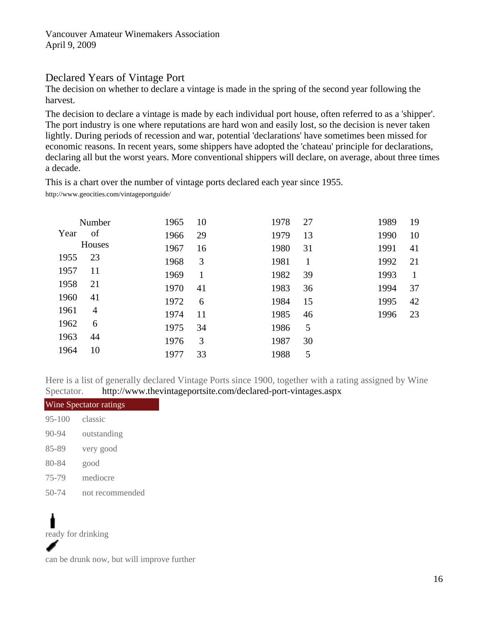# Declared Years of Vintage Port

The decision on whether to declare a vintage is made in the spring of the second year following the harvest.

The decision to declare a vintage is made by each individual port house, often referred to as a 'shipper'. The port industry is one where reputations are hard won and easily lost, so the decision is never taken lightly. During periods of recession and war, potential 'declarations' have sometimes been missed for economic reasons. In recent years, some shippers have adopted the 'chateau' principle for declarations, declaring all but the worst years. More conventional shippers will declare, on average, about three times a decade.

This is a chart over the number of vintage ports declared each year since 1955.

http://www.geocities.com/vintageportguide/

|      | Number | 1965 | 10 | 1978 | 27 | 1989 | 19 |
|------|--------|------|----|------|----|------|----|
| Year | of     | 1966 | 29 | 1979 | 13 | 1990 | 10 |
|      | Houses | 1967 | 16 | 1980 | 31 | 1991 | 41 |
| 1955 | 23     | 1968 | 3  | 1981 | 1  | 1992 | 21 |
| 1957 | 11     | 1969 |    | 1982 | 39 | 1993 | 1  |
| 1958 | 21     | 1970 | 41 | 1983 | 36 | 1994 | 37 |
| 1960 | 41     | 1972 | 6  | 1984 | 15 | 1995 | 42 |
| 1961 | 4      | 1974 | 11 | 1985 | 46 | 1996 | 23 |
| 1962 | 6      | 1975 | 34 | 1986 | 5  |      |    |
| 1963 | 44     | 1976 | 3  | 1987 | 30 |      |    |
| 1964 | 10     | 1977 | 33 | 1988 | 5  |      |    |

Here is a list of generally declared Vintage Ports since 1900, together with a rating assigned by Wine Spectator. <http://www.thevintageportsite.com/declared-port-vintages.aspx>

| Wine Spectator ratings |                 |  |  |  |
|------------------------|-----------------|--|--|--|
| $95 - 100$             | classic         |  |  |  |
| $90 - 94$              | outstanding     |  |  |  |
| 85-89                  | very good       |  |  |  |
| 80-84                  | good            |  |  |  |
| 75-79                  | mediocre        |  |  |  |
| 50-74                  | not recommended |  |  |  |

# п ready for drinking

can be drunk now, but will improve further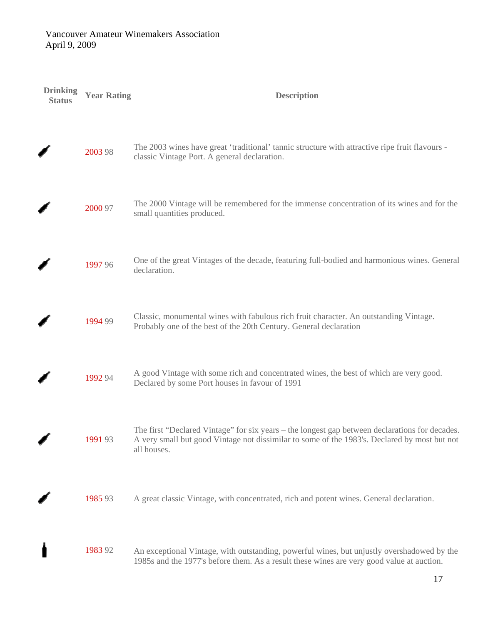| <b>Drinking</b><br><b>Status</b> | <b>Year Rating</b> | <b>Description</b>                                                                                                                                                                                            |
|----------------------------------|--------------------|---------------------------------------------------------------------------------------------------------------------------------------------------------------------------------------------------------------|
|                                  | 2003 98            | The 2003 wines have great 'traditional' tannic structure with attractive ripe fruit flavours -<br>classic Vintage Port. A general declaration.                                                                |
|                                  | 2000 97            | The 2000 Vintage will be remembered for the immense concentration of its wines and for the<br>small quantities produced.                                                                                      |
|                                  | 1997 96            | One of the great Vintages of the decade, featuring full-bodied and harmonious wines. General<br>declaration.                                                                                                  |
|                                  | 1994 99            | Classic, monumental wines with fabulous rich fruit character. An outstanding Vintage.<br>Probably one of the best of the 20th Century. General declaration                                                    |
|                                  | 1992 94            | A good Vintage with some rich and concentrated wines, the best of which are very good.<br>Declared by some Port houses in favour of 1991                                                                      |
|                                  | 1991 93            | The first "Declared Vintage" for six years – the longest gap between declarations for decades.<br>A very small but good Vintage not dissimilar to some of the 1983's. Declared by most but not<br>all houses. |
|                                  | 1985 93            | A great classic Vintage, with concentrated, rich and potent wines. General declaration.                                                                                                                       |
|                                  | 1983 92            | An exceptional Vintage, with outstanding, powerful wines, but unjustly overshadowed by the<br>1985s and the 1977's before them. As a result these wines are very good value at auction.                       |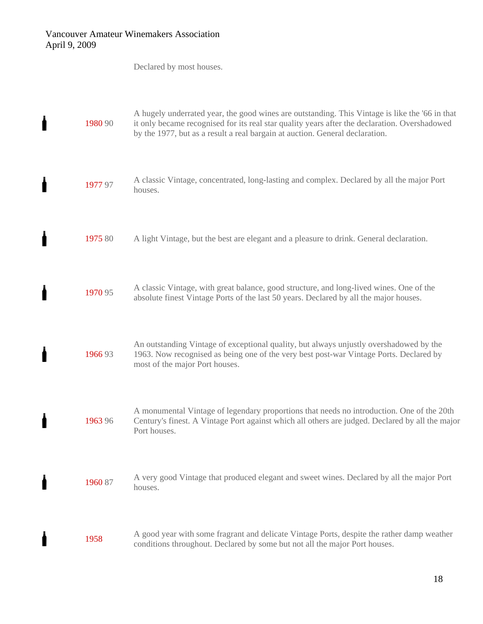$\mathbf{I}$ 

ł

Í

ł

 $\mathbf{I}$ 

 $\pmb{\pmb{\rceil}}$ 

 $\mathbf{I}$ 

 $\mathbf{I}$ 

Declared by most houses.

| 1980 90 | A hugely underrated year, the good wines are outstanding. This Vintage is like the '66 in that<br>it only became recognised for its real star quality years after the declaration. Overshadowed<br>by the 1977, but as a result a real bargain at auction. General declaration. |
|---------|---------------------------------------------------------------------------------------------------------------------------------------------------------------------------------------------------------------------------------------------------------------------------------|
| 1977 97 | A classic Vintage, concentrated, long-lasting and complex. Declared by all the major Port<br>houses.                                                                                                                                                                            |
| 1975 80 | A light Vintage, but the best are elegant and a pleasure to drink. General declaration.                                                                                                                                                                                         |
| 1970 95 | A classic Vintage, with great balance, good structure, and long-lived wines. One of the<br>absolute finest Vintage Ports of the last 50 years. Declared by all the major houses.                                                                                                |
| 1966 93 | An outstanding Vintage of exceptional quality, but always unjustly overshadowed by the<br>1963. Now recognised as being one of the very best post-war Vintage Ports. Declared by<br>most of the major Port houses.                                                              |
| 1963 96 | A monumental Vintage of legendary proportions that needs no introduction. One of the 20th<br>Century's finest. A Vintage Port against which all others are judged. Declared by all the major<br>Port houses.                                                                    |
| 1960 87 | A very good Vintage that produced elegant and sweet wines. Declared by all the major Port<br>houses.                                                                                                                                                                            |
| 1958    | A good year with some fragrant and delicate Vintage Ports, despite the rather damp weather<br>conditions throughout. Declared by some but not all the major Port houses.                                                                                                        |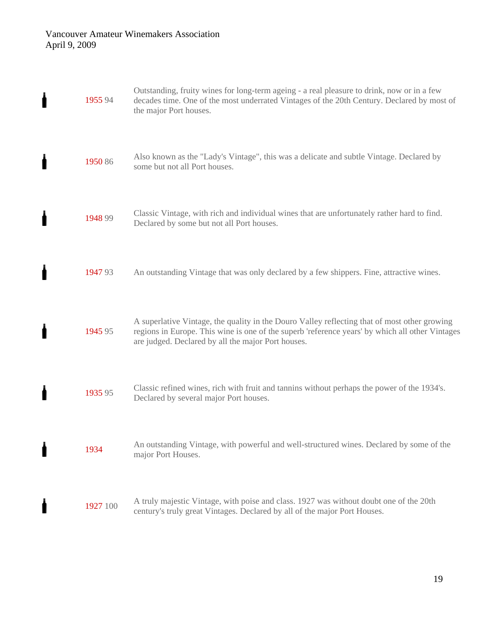$\mathbf{I}$ 

 $\pmb{\pmb{\rceil}}$ 

 $\mathbf{I}$ 

 $\mathbf{I}$ 

 $\mathbf i$ 

 $\pmb{\pmb{\rceil}}$ 

 $\mathbf{I}$ 

 $\mathbf{I}$ 

| 1955 94  | Outstanding, fruity wines for long-term ageing - a real pleasure to drink, now or in a few<br>decades time. One of the most underrated Vintages of the 20th Century. Declared by most of<br>the major Port houses.                                    |
|----------|-------------------------------------------------------------------------------------------------------------------------------------------------------------------------------------------------------------------------------------------------------|
| 1950 86  | Also known as the "Lady's Vintage", this was a delicate and subtle Vintage. Declared by<br>some but not all Port houses.                                                                                                                              |
| 1948 99  | Classic Vintage, with rich and individual wines that are unfortunately rather hard to find.<br>Declared by some but not all Port houses.                                                                                                              |
| 1947 93  | An outstanding Vintage that was only declared by a few shippers. Fine, attractive wines.                                                                                                                                                              |
| 1945 95  | A superlative Vintage, the quality in the Douro Valley reflecting that of most other growing<br>regions in Europe. This wine is one of the superb 'reference years' by which all other Vintages<br>are judged. Declared by all the major Port houses. |
| 1935 95  | Classic refined wines, rich with fruit and tannins without perhaps the power of the 1934's.<br>Declared by several major Port houses.                                                                                                                 |
| 1934     | An outstanding Vintage, with powerful and well-structured wines. Declared by some of the<br>major Port Houses.                                                                                                                                        |
| 1927 100 | A truly majestic Vintage, with poise and class. 1927 was without doubt one of the 20th<br>century's truly great Vintages. Declared by all of the major Port Houses.                                                                                   |